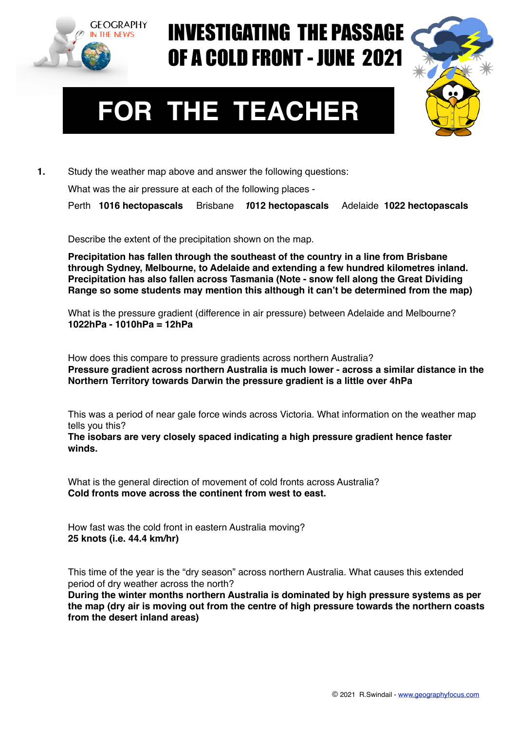

## INVESTIGATING THE PASSAGE OF A COLD FRONT - JUNE 2021



## **FOR THE TEACHER**

**1.** Study the weather map above and answer the following questions:

What was the air pressure at each of the following places -

Perth **1016 hectopascals** Brisbane *1***012 hectopascals** Adelaide **1022 hectopascals**

Describe the extent of the precipitation shown on the map.

**Precipitation has fallen through the southeast of the country in a line from Brisbane through Sydney, Melbourne, to Adelaide and extending a few hundred kilometres inland. Precipitation has also fallen across Tasmania (Note - snow fell along the Great Dividing Range so some students may mention this although it can't be determined from the map)**

What is the pressure gradient (difference in air pressure) between Adelaide and Melbourne? **1022hPa - 1010hPa = 12hPa**

How does this compare to pressure gradients across northern Australia? **Pressure gradient across northern Australia is much lower - across a similar distance in the Northern Territory towards Darwin the pressure gradient is a little over 4hPa**

This was a period of near gale force winds across Victoria. What information on the weather map tells you this?

**The isobars are very closely spaced indicating a high pressure gradient hence faster winds.**

What is the general direction of movement of cold fronts across Australia? **Cold fronts move across the continent from west to east.**

How fast was the cold front in eastern Australia moving? **25 knots (i.e. 44.4 km/hr)**

This time of the year is the "dry season" across northern Australia. What causes this extended period of dry weather across the north?

**During the winter months northern Australia is dominated by high pressure systems as per the map (dry air is moving out from the centre of high pressure towards the northern coasts from the desert inland areas)**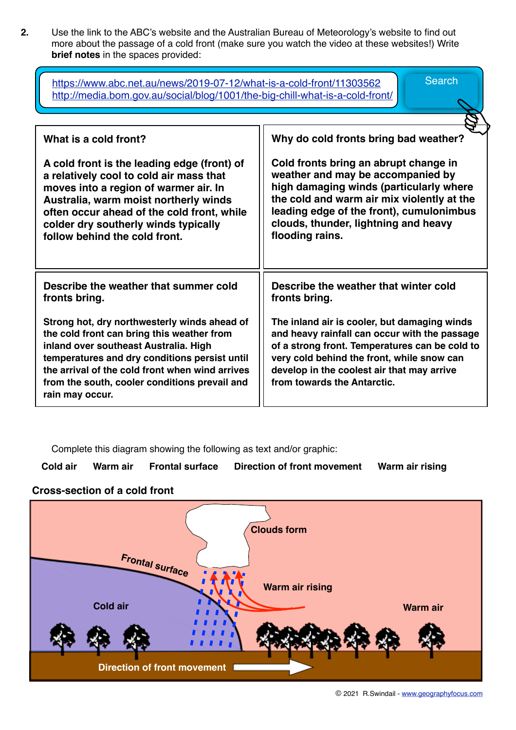**2.** Use the link to the ABC's website and the Australian Bureau of Meteorology's website to find out more about the passage of a cold front (make sure you watch the video at these websites!) Write **brief notes** in the spaces provided:

| <b>Search</b><br>https://www.abc.net.au/news/2019-07-12/what-is-a-cold-front/11303562<br>http://media.bom.gov.au/social/blog/1001/the-big-chill-what-is-a-cold-front/                                                                                                                                       |                                                                                                                                                                                                                                                                            |
|-------------------------------------------------------------------------------------------------------------------------------------------------------------------------------------------------------------------------------------------------------------------------------------------------------------|----------------------------------------------------------------------------------------------------------------------------------------------------------------------------------------------------------------------------------------------------------------------------|
| What is a cold front?                                                                                                                                                                                                                                                                                       | Why do cold fronts bring bad weather?                                                                                                                                                                                                                                      |
| A cold front is the leading edge (front) of<br>a relatively cool to cold air mass that<br>moves into a region of warmer air. In<br>Australia, warm moist northerly winds<br>often occur ahead of the cold front, while<br>colder dry southerly winds typically<br>follow behind the cold front.             | Cold fronts bring an abrupt change in<br>weather and may be accompanied by<br>high damaging winds (particularly where<br>the cold and warm air mix violently at the<br>leading edge of the front), cumulonimbus<br>clouds, thunder, lightning and heavy<br>flooding rains. |
| Describe the weather that summer cold<br>fronts bring.                                                                                                                                                                                                                                                      | Describe the weather that winter cold<br>fronts bring.                                                                                                                                                                                                                     |
| Strong hot, dry northwesterly winds ahead of<br>the cold front can bring this weather from<br>inland over southeast Australia. High<br>temperatures and dry conditions persist until<br>the arrival of the cold front when wind arrives<br>from the south, cooler conditions prevail and<br>rain may occur. | The inland air is cooler, but damaging winds<br>and heavy rainfall can occur with the passage<br>of a strong front. Temperatures can be cold to<br>very cold behind the front, while snow can<br>develop in the coolest air that may arrive<br>from towards the Antarctic. |

Complete this diagram showing the following as text and/or graphic:

**Cold air Warm air Frontal surface Direction of front movement Warm air rising** 

## **Cross-section of a cold front**

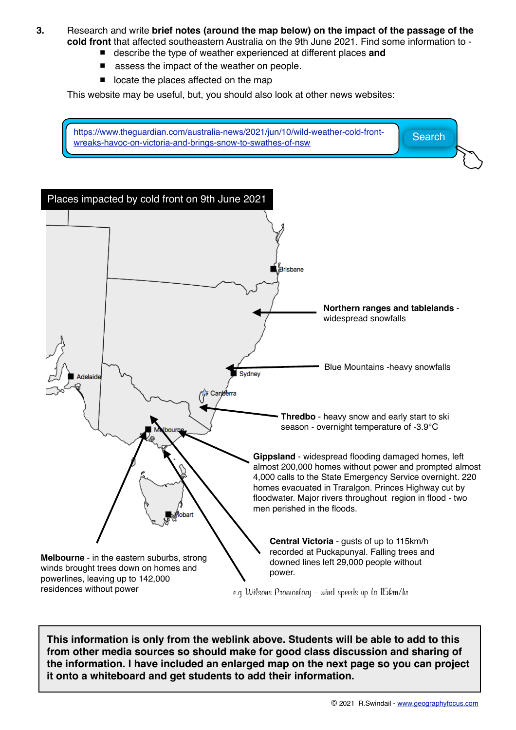- **3.** Research and write **brief notes (around the map below) on the impact of the passage of the cold front** that affected southeastern Australia on the 9th June 2021. Find some information to -
	- describe the type of weather experienced at different places and
	- assess the impact of the weather on people.
	- locate the places affected on the map

This website may be useful, but, you should also look at other news websites:

[https://www.theguardian.com/australia-news/2021/jun/10/wild-weather-cold-front](https://www.theguardian.com/australia-news/2021/jun/10/wild-weather-cold-front-wreaks-havoc-on-victoria-and-brings-snow-to-swathes-of-nsw)ntips://www.trieguardian.com/australia-news/2021/jun/10/wild-weather-cold-front-<br>[wreaks-havoc-on-victoria-and-brings-snow-to-swathes-of-nsw](https://www.theguardian.com/australia-news/2021/jun/10/wild-weather-cold-front-wreaks-havoc-on-victoria-and-brings-snow-to-swathes-of-nsw)



**This information is only from the weblink above. Students will be able to add to this from other media sources so should make for good class discussion and sharing of the information. I have included an enlarged map on the next page so you can project it onto a whiteboard and get students to add their information.**